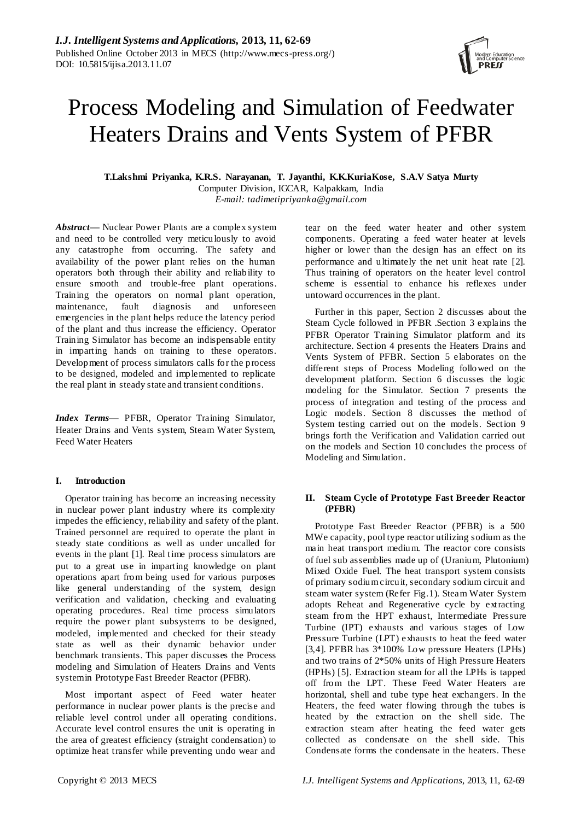# Process Modeling and Simulation of Feedwater Heaters Drains and Vents System of PFBR

**T.Lakshmi Priyanka, K.R.S. Narayanan, T. Jayanthi, K.K.KuriaKose, S.A.V Satya Murty** Computer Division, IGCAR, Kalpakkam, India *E-mail: tadimetipriyanka@gmail.com*

*Abstract—* Nuclear Power Plants are a complex system and need to be controlled very meticulously to avoid any catastrophe from occurring. The safety and availability of the power plant relies on the human operators both through their ability and reliability to ensure smooth and trouble-free plant operations. Training the operators on normal plant operation, maintenance, fault diagnosis and unforeseen emergencies in the plant helps reduce the latency period of the plant and thus increase the efficiency. Operator Training Simulator has become an indispensable entity in imparting hands on training to these operators. Development of process simulators calls for the process to be designed, modeled and implemented to replicate the real plant in steady state and transient conditions.

*Index Terms*— PFBR, Operator Training Simulator, Heater Drains and Vents system, Steam Water System, Feed Water Heaters

# **I. Introduction**

Operator training has become an increasing necessity in nuclear power plant industry where its complexity impedes the efficiency, reliability and safety of the plant. Trained personnel are required to operate the plant in steady state conditions as well as under uncalled for events in the plant [1]. Real time process simulators are put to a great use in imparting knowledge on plant operations apart from being used for various purposes like general understanding of the system, design verification and validation, checking and evaluating operating procedures. Real time process simulators require the power plant subsystems to be designed, modeled, implemented and checked for their steady state as well as their dynamic behavior under benchmark transients. This paper discusses the Process modeling and Simulation of Heaters Drains and Vents system in Prototype Fast Breeder Reactor (PFBR).

Most important aspect of Feed water heater performance in nuclear power plants is the precise and reliable level control under all operating conditions. Accurate level control ensures the unit is operating in the area of greatest efficiency (straight condensation) to optimize heat transfer while preventing undo wear and

tear on the feed water heater and other system components. Operating a feed water heater at levels higher or lower than the design has an effect on its performance and ultimately the net unit heat rate [2]. Thus training of operators on the heater level control scheme is essential to enhance his reflexes under untoward occurrences in the plant.

Further in this paper, Section 2 discusses about the Steam Cycle followed in PFBR .Section 3 explains the PFBR Operator Training Simulator platform and its architecture. Section 4 presents the Heaters Drains and Vents System of PFBR. Section 5 elaborates on the different steps of Process Modeling followed on the development platform. Section 6 discusses the logic modeling for the Simulator. Section 7 presents the process of integration and testing of the process and Logic models. Section 8 discusses the method of System testing carried out on the models. Section 9 brings forth the Verification and Validation carried out on the models and Section 10 concludes the process of Modeling and Simulation.

# **II. Steam Cycle of Prototype Fast Breeder Reactor (PFBR)**

Prototype Fast Breeder Reactor (PFBR) is a 500 MWe capacity, pool type reactor utilizing sodium as the main heat transport medium. The reactor core consists of fuel sub assemblies made up of (Uranium, Plutonium) Mixed Oxide Fuel. The heat transport system consists of primary sodium circuit, secondary sodium circuit and steam water system (Refer Fig.1). Steam Water System adopts Reheat and Regenerative cycle by extracting steam from the HPT exhaust, Intermediate Pressure Turbine (IPT) exhausts and various stages of Low Pressure Turbine (LPT) exhausts to heat the feed water [3,4]. PFBR has 3\*100% Low pressure Heaters (LPHs) and two trains of 2\*50% units of High Pressure Heaters (HPHs) [5]. Extraction steam for all the LPHs is tapped off from the LPT. These Feed Water Heaters are horizontal, shell and tube type heat exchangers. In the Heaters, the feed water flowing through the tubes is heated by the extraction on the shell side. The extraction steam after heating the feed water gets collected as condensate on the shell side. This Condensate forms the condensate in the heaters. These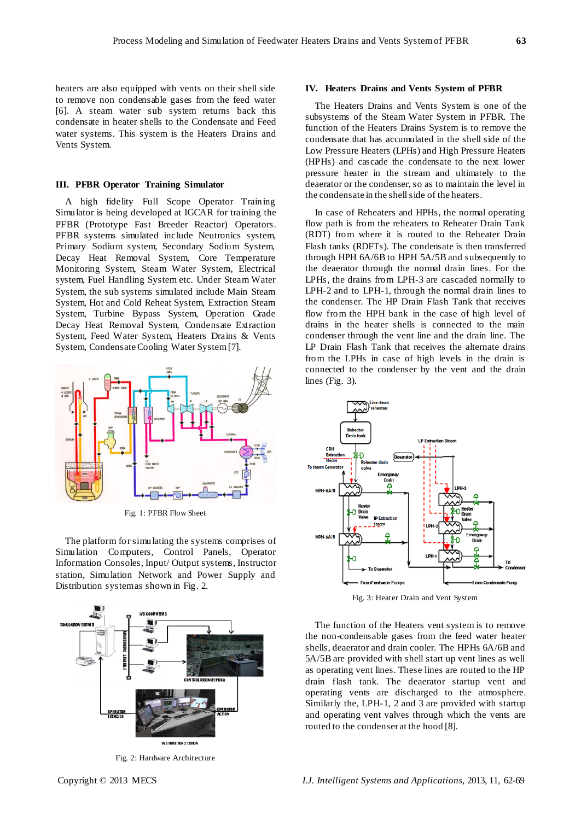heaters are also equipped with vents on their shell side to remove non condensable gases from the feed water [6]. A steam water sub system returns back this condensate in heater shells to the Condensate and Feed water systems. This system is the Heaters Drains and Vents System.

## **III. PFBR Operator Training Simulator**

A high fidelity Full Scope Operator Training Simulator is being developed at IGCAR for training the PFBR (Prototype Fast Breeder Reactor) Operators. PFBR systems simulated include Neutronics system, Primary Sodium system, Secondary Sodium System, Decay Heat Removal System, Core Temperature Monitoring System, Steam Water System, Electrical system, Fuel Handling System etc. Under Steam Water System, the sub systems simulated include Main Steam System, Hot and Cold Reheat System, Extraction Steam System, Turbine Bypass System, Operation Grade Decay Heat Removal System, Condensate Extraction System, Feed Water System, Heaters Drains & Vents System, Condensate Cooling Water System [7].



Fig. 1: PFBR Flow Sheet

The platform for simulating the systems comprises of Simulation Computers, Control Panels, Operator Information Consoles, Input/ Output systems, Instructor station, Simulation Network and Power Supply and Distribution system as shown in Fig. 2.



Fig. 2: Hardware Architecture

## **IV. Heaters Drains and Vents System of PFBR**

The Heaters Drains and Vents System is one of the subsystems of the Steam Water System in PFBR. The function of the Heaters Drains System is to remove the condensate that has accumulated in the shell side of the Low Pressure Heaters (LPHs) and High Pressure Heaters (HPHs) and cascade the condensate to the next lower pressure heater in the stream and ultimately to the deaerator or the condenser, so as to maintain the level in the condensate in the shell side of the heaters.

In case of Reheaters and HPHs, the normal operating flow path is from the reheaters to Reheater Drain Tank (RDT) from where it is routed to the Reheater Drain Flash tanks (RDFTs). The condensate is then transferred through HPH 6A/6B to HPH 5A/5B and subsequently to the deaerator through the normal drain lines. For the LPHs, the drains from LPH-3 are cascaded normally to LPH-2 and to LPH-1, through the normal drain lines to the condenser. The HP Drain Flash Tank that receives flow from the HPH bank in the case of high level of drains in the heater shells is connected to the main condenser through the vent line and the drain line. The LP Drain Flash Tank that receives the alternate drains from the LPHs in case of high levels in the drain is connected to the condenser by the vent and the drain lines (Fig. 3).



Fig. 3: Heater Drain and Vent System

The function of the Heaters vent system is to remove the non-condensable gases from the feed water heater shells, deaerator and drain cooler. The HPHs 6A/6B and 5A/5B are provided with shell start up vent lines as well as operating vent lines. These lines are routed to the HP drain flash tank. The deaerator startup vent and operating vents are discharged to the atmosphere. Similarly the, LPH-1, 2 and 3 are provided with startup and operating vent valves through which the vents are routed to the condenser at the hood [8].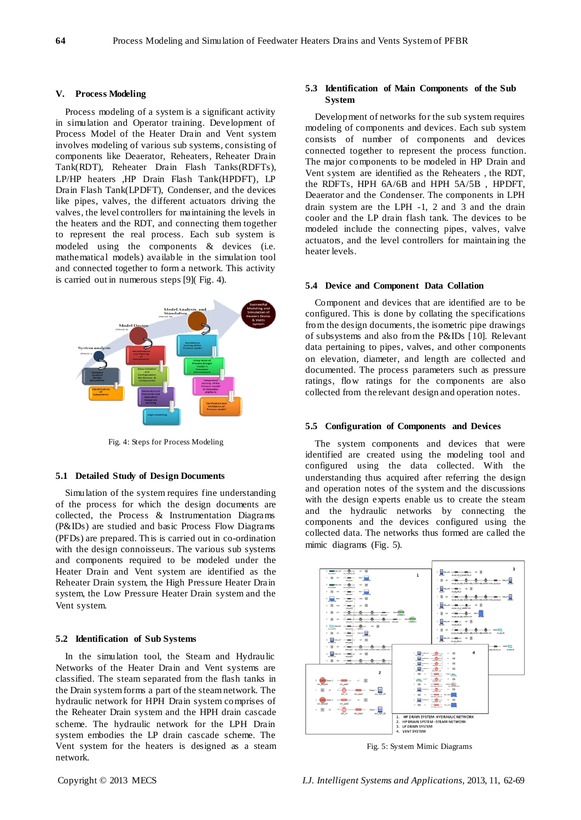## **V. Process Modeling**

Process modeling of a system is a significant activity in simulation and Operator training. Development of Process Model of the Heater Drain and Vent system involves modeling of various sub systems, consisting of components like Deaerator, Reheaters, Reheater Drain Tank(RDT), Reheater Drain Flash Tanks(RDFTs), LP/HP heaters ,HP Drain Flash Tank(HPDFT), LP Drain Flash Tank(LPDFT), Condenser, and the devices like pipes, valves, the different actuators driving the valves, the level controllers for maintaining the levels in the heaters and the RDT, and connecting them together to represent the real process. Each sub system is modeled using the components & devices (i.e. mathematical models) available in the simulation tool and connected together to form a network. This activity is carried out in numerous steps [9]( Fig. 4).



Fig. 4: Steps for Process Modeling

# **5.1 Detailed Study of Design Documents**

Simulation of the system requires fine understanding of the process for which the design documents are collected, the Process & Instrumentation Diagrams (P&IDs) are studied and basic Process Flow Diagrams (PFDs) are prepared. This is carried out in co-ordination with the design connoisseurs. The various sub systems and components required to be modeled under the Heater Drain and Vent system are identified as the Reheater Drain system, the High Pressure Heater Drain system, the Low Pressure Heater Drain system and the Vent system.

## **5.2 Identification of Sub Systems**

In the simulation tool, the Steam and Hydraulic Networks of the Heater Drain and Vent systems are classified. The steam separated from the flash tanks in the Drain system forms a part of the steam network. The hydraulic network for HPH Drain system comprises of the Reheater Drain system and the HPH drain cascade scheme. The hydraulic network for the LPH Drain system embodies the LP drain cascade scheme. The Vent system for the heaters is designed as a steam network.

# **5.3 Identification of Main Components of the Sub System**

Development of networks for the sub system requires modeling of components and devices. Each sub system consists of number of components and devices connected together to represent the process function. The major components to be modeled in HP Drain and Vent system are identified as the Reheaters , the RDT, the RDFTs, HPH 6A/6B and HPH 5A/5B , HPDFT, Deaerator and the Condenser. The components in LPH drain system are the LPH -1, 2 and 3 and the drain cooler and the LP drain flash tank. The devices to be modeled include the connecting pipes, valves, valve actuators, and the level controllers for maintaining the heater levels.

## **5.4 Device and Component Data Collation**

Component and devices that are identified are to be configured. This is done by collating the specifications from the design documents, the isometric pipe drawings of subsystems and also from the P&IDs [10]. Relevant data pertaining to pipes, valves, and other components on elevation, diameter, and length are collected and documented. The process parameters such as pressure ratings, flow ratings for the components are also collected from the relevant design and operation notes.

# **5.5 Configuration of Components and Devices**

The system components and devices that were identified are created using the modeling tool and configured using the data collected. With the understanding thus acquired after referring the design and operation notes of the system and the discussions with the design experts enable us to create the steam and the hydraulic networks by connecting the components and the devices configured using the collected data. The networks thus formed are called the mimic diagrams (Fig. 5).



Fig. 5: System Mimic Diagrams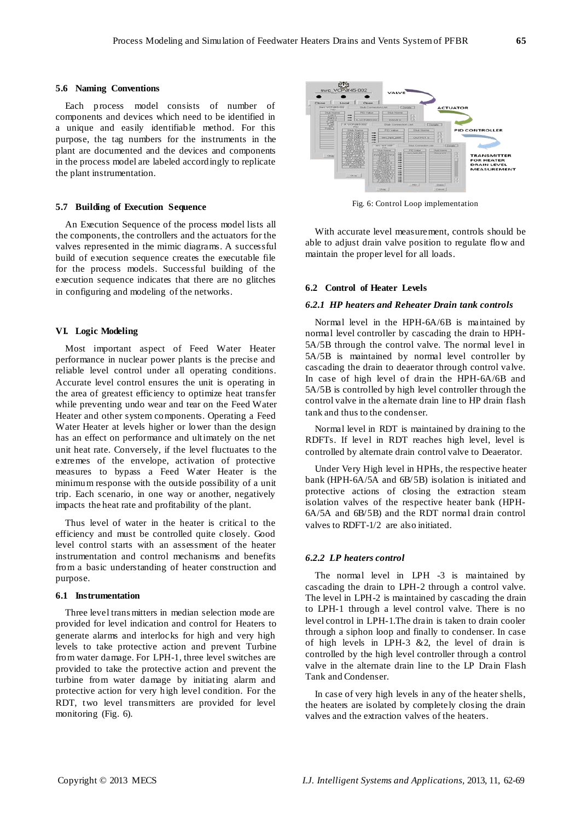## **5.6 Naming Conventions**

Each process model consists of number of components and devices which need to be identified in a unique and easily identifiable method. For this purpose, the tag numbers for the instruments in the plant are documented and the devices and components in the process model are labeled accordingly to replicate the plant instrumentation.

## **5.7 Building of Execution Sequence**

An Execution Sequence of the process model lists all the components, the controllers and the actuators for the valves represented in the mimic diagrams. A successful build of execution sequence creates the executable file for the process models. Successful building of the execution sequence indicates that there are no glitches in configuring and modeling of the networks.

# **VI. Logic Modeling**

Most important aspect of Feed Water Heater performance in nuclear power plants is the precise and reliable level control under all operating conditions. Accurate level control ensures the unit is operating in the area of greatest efficiency to optimize heat transfer while preventing undo wear and tear on the Feed Water Heater and other system components. Operating a Feed Water Heater at levels higher or lower than the design has an effect on performance and ultimately on the net unit heat rate. Conversely, if the level fluctuates to the extremes of the envelope, activation of protective measures to bypass a Feed Water Heater is the minimum response with the outside possibility of a unit trip. Each scenario, in one way or another, negatively impacts the heat rate and profitability of the plant.

Thus level of water in the heater is critical to the efficiency and must be controlled quite closely. Good level control starts with an assessment of the heater instrumentation and control mechanisms and benefits from a basic understanding of heater construction and purpose.

# **6.1 Instrumentation**

Three level trans mitters in median selection mode are provided for level indication and control for Heaters to generate alarms and interlocks for high and very high levels to take protective action and prevent Turbine from water damage. For LPH-1, three level switches are provided to take the protective action and prevent the turbine from water damage by initiating alarm and protective action for very high level condition. For the RDT, two level transmitters are provided for level monitoring (Fig. 6).



Fig. 6: Control Loop implementation

With accurate level measurement, controls should be able to adjust drain valve position to regulate flow and maintain the proper level for all loads.

## **6.2 Control of Heater Levels**

#### *6.2.1 HP heaters and Reheater Drain tank controls*

Normal level in the HPH-6A/6B is maintained by normal level controller by cascading the drain to HPH-5A/5B through the control valve. The normal level in 5A/5B is maintained by normal level controller by cascading the drain to deaerator through control valve. In case of high level of drain the HPH-6A/6B and 5A/5B is controlled by high level controller through the control valve in the alternate drain line to HP drain flash tank and thus to the condenser.

Normal level in RDT is maintained by draining to the RDFTs. If level in RDT reaches high level, level is controlled by alternate drain control valve to Deaerator.

Under Very High level in HPHs, the respective heater bank (HPH-6A/5A and 6B/5B) isolation is initiated and protective actions of closing the extraction steam isolation valves of the respective heater bank (HPH-6A/5A and 6B/5B) and the RDT normal drain control valves to RDFT-1/2 are also initiated.

## *6.2.2 LP heaters control*

The normal level in LPH -3 is maintained by cascading the drain to LPH-2 through a control valve. The level in LPH-2 is maintained by cascading the drain to LPH-1 through a level control valve. There is no level control in LPH-1.The drain is taken to drain cooler through a siphon loop and finally to condenser. In case of high levels in LPH-3 &2, the level of drain is controlled by the high level controller through a control valve in the alternate drain line to the LP Drain Flash Tank and Condenser.

In case of very high levels in any of the heater shells, the heaters are isolated by completely closing the drain valves and the extraction valves of the heaters.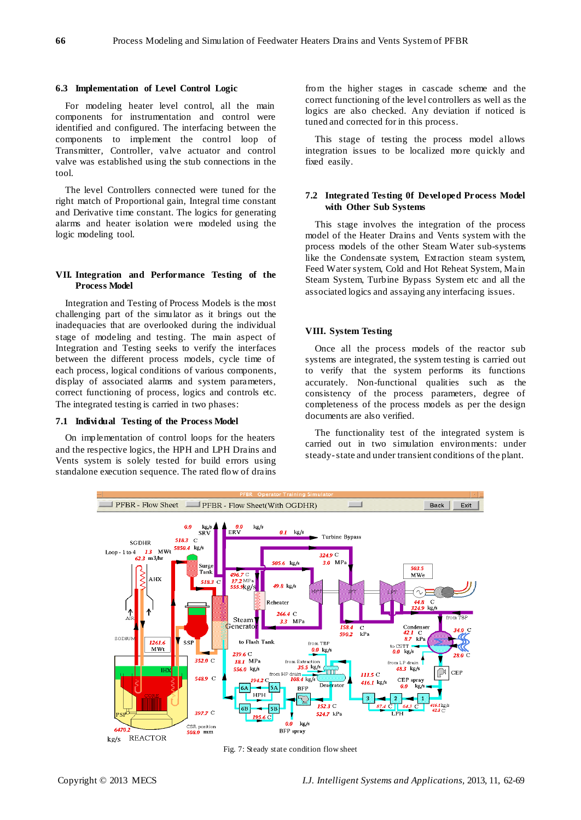# **6.3 Implementation of Level Control Logic**

For modeling heater level control, all the main components for instrumentation and control were identified and configured. The interfacing between the components to implement the control loop of Transmitter, Controller, valve actuator and control valve was established using the stub connections in the tool.

The level Controllers connected were tuned for the right match of Proportional gain, Integral time constant and Derivative time constant. The logics for generating alarms and heater isolation were modeled using the logic modeling tool.

# **VII. Integration and Performance Testing of the Process Model**

Integration and Testing of Process Models is the most challenging part of the simulator as it brings out the inadequacies that are overlooked during the individual stage of modeling and testing. The main aspect of Integration and Testing seeks to verify the interfaces between the different process models, cycle time of each process, logical conditions of various components, display of associated alarms and system parameters, correct functioning of process, logics and controls etc. The integrated testing is carried in two phases:

## **7.1 Individual Testing of the Process Model**

On implementation of control loops for the heaters and the respective logics, the HPH and LPH Drains and Vents system is solely tested for build errors using standalone execution sequence. The rated flow of drains

from the higher stages in cascade scheme and the correct functioning of the level controllers as well as the logics are also checked. Any deviation if noticed is tuned and corrected for in this process.

This stage of testing the process model allows integration issues to be localized more quickly and fixed easily.

# **7.2 Integrated Testing 0f Developed Process Model with Other Sub Systems**

This stage involves the integration of the process model of the Heater Drains and Vents system with the process models of the other Steam Water sub-systems like the Condensate system, Extraction steam system, Feed Water system, Cold and Hot Reheat System, Main Steam System, Turbine Bypass System etc and all the associated logics and assaying any interfacing issues.

# **VIII. System Testing**

Once all the process models of the reactor sub systems are integrated, the system testing is carried out to verify that the system performs its functions accurately. Non-functional qualities such as the consistency of the process parameters, degree of completeness of the process models as per the design documents are also verified.

The functionality test of the integrated system is carried out in two simulation environments: under steady-state and under transient conditions of the plant.



Fig. 7: Steady state condition flow sheet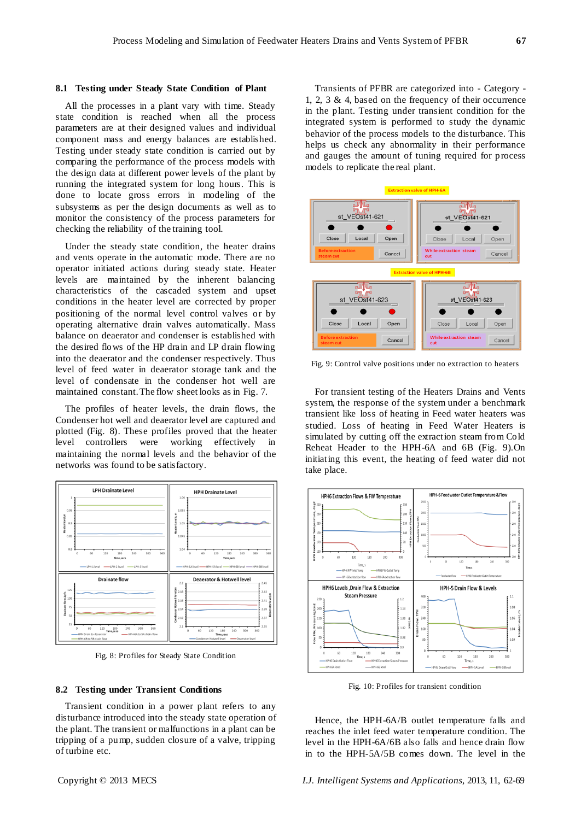### **8.1 Testing under Steady State Condition of Plant**

All the processes in a plant vary with time. Steady state condition is reached when all the process parameters are at their designed values and individual component mass and energy balances are established. Testing under steady state condition is carried out by comparing the performance of the process models with the design data at different power levels of the plant by running the integrated system for long hours. This is done to locate gross errors in modeling of the subsystems as per the design documents as well as to monitor the consistency of the process parameters for checking the reliability of the training tool.

Under the steady state condition, the heater drains and vents operate in the automatic mode. There are no operator initiated actions during steady state. Heater levels are maintained by the inherent balancing characteristics of the cascaded system and upset conditions in the heater level are corrected by proper positioning of the normal level control valves or by operating alternative drain valves automatically. Mass balance on deaerator and condenser is established with the desired flows of the HP drain and LP drain flowing into the deaerator and the condenser respectively. Thus level of feed water in deaerator storage tank and the level of condensate in the condenser hot well are maintained constant. The flow sheet looks as in Fig. 7.

The profiles of heater levels, the drain flows, the Condenser hot well and deaerator level are captured and plotted (Fig. 8). These profiles proved that the heater level controllers were working effectively in maintaining the normal levels and the behavior of the networks was found to be satisfactory.



Fig. 8: Profiles for Steady State Condition

# **8.2 Testing under Transient Conditions**

Transient condition in a power plant refers to any disturbance introduced into the steady state operation of the plant. The transient or malfunctions in a plant can be tripping of a pump, sudden closure of a valve, tripping of turbine etc.

Transients of PFBR are categorized into - Category - 1, 2, 3 & 4, based on the frequency of their occurrence in the plant. Testing under transient condition for the integrated system is performed to study the dynamic behavior of the process models to the disturbance. This helps us check any abnormality in their performance and gauges the amount of tuning required for process models to replicate the real plant.



Fig. 9: Control valve positions under no extraction to heaters

For transient testing of the Heaters Drains and Vents system, the response of the system under a benchmark transient like loss of heating in Feed water heaters was studied. Loss of heating in Feed Water Heaters is simulated by cutting off the extraction steam from Cold Reheat Header to the HPH-6A and 6B (Fig. 9).On initiating this event, the heating of feed water did not take place.



Fig. 10: Profiles for transient condition

Hence, the HPH-6A/B outlet temperature falls and reaches the inlet feed water temperature condition. The level in the HPH-6A/6B also falls and hence drain flow in to the HPH-5A/5B comes down. The level in the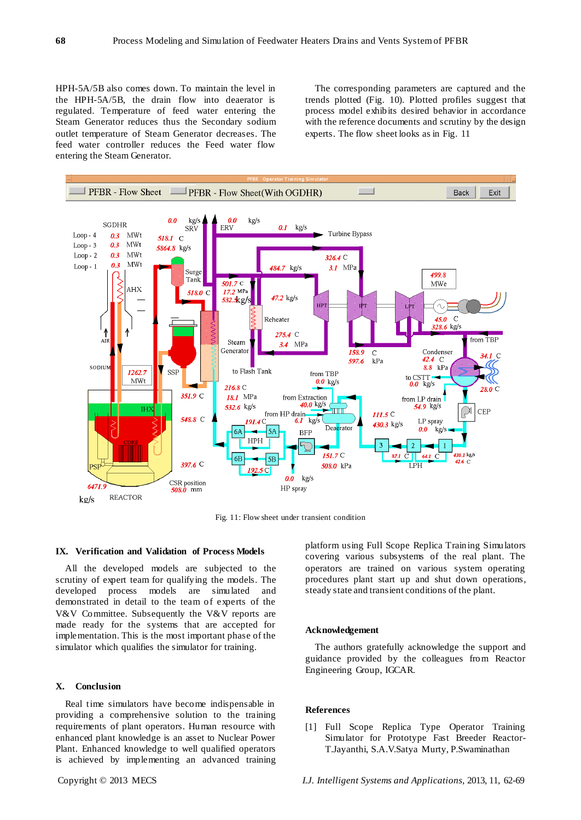HPH-5A/5B also comes down. To maintain the level in the HPH-5A/5B, the drain flow into deaerator is regulated. Temperature of feed water entering the Steam Generator reduces thus the Secondary sodium outlet temperature of Steam Generator decreases. The feed water controller reduces the Feed water flow entering the Steam Generator.

The corresponding parameters are captured and the trends plotted (Fig. 10). Plotted profiles suggest that process model exhibits desired behavior in accordance with the reference documents and scrutiny by the design experts. The flow sheet looks as in Fig. 11



Fig. 11: Flow sheet under transient condition

#### **IX. Verification and Validation of Process Models**

All the developed models are subjected to the scrutiny of expert team for qualifying the models. The developed process models are simulated and demonstrated in detail to the team of experts of the V&V Committee. Subsequently the V&V reports are made ready for the systems that are accepted for implementation. This is the most important phase of the simulator which qualifies the simulator for training.

# **X. Conclusion**

Real time simulators have become indispensable in providing a comprehensive solution to the training requirements of plant operators. Human resource with enhanced plant knowledge is an asset to Nuclear Power Plant. Enhanced knowledge to well qualified operators is achieved by implementing an advanced training platform using Full Scope Replica Training Simulators covering various subsystems of the real plant. The operators are trained on various system operating procedures plant start up and shut down operations, steady state and transient conditions of the plant.

#### **Acknowledgement**

The authors gratefully acknowledge the support and guidance provided by the colleagues from Reactor Engineering Group, IGCAR.

## **References**

[1] Full Scope Replica Type Operator Training Simulator for Prototype Fast Breeder Reactor-T.Jayanthi, S.A.V.Satya Murty, P.Swaminathan

Copyright © 2013 MECS *I.J. Intelligent Systems and Applications,* 2013, 11, 62-69